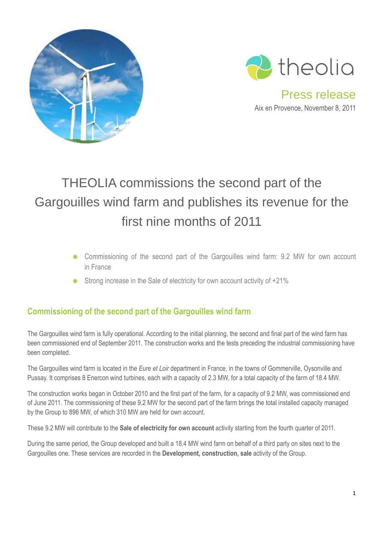



Press release Aix en Provence, November 8, 2011

## THEOLIA commissions the second part of the Gargouilles wind farm and publishes its revenue for the first nine months of 2011

- Commissioning of the second part of the Gargouilles wind farm: 9.2 MW for own account in France
- Strong increase in the Sale of electricity for own account activity of  $+21\%$

## **Commissioning of the second part of the Gargouilles wind farm**

The Gargouilles wind farm is fully operational. According to the initial planning, the second and final part of the wind farm has been commissioned end of September 2011. The construction works and the tests preceding the industrial commissioning have been completed.

The Gargouilles wind farm is located in the *Eure et Loir* department in France, in the towns of Gommerville, Oysonville and Pussay. It comprises 8 Enercon wind turbines, each with a capacity of 2.3 MW, for a total capacity of the farm of 18.4 MW.

The construction works began in October 2010 and the first part of the farm, for a capacity of 9.2 MW, was commissioned end of June 2011. The commissioning of these 9.2 MW for the second part of the farm brings the total installed capacity managed by the Group to 896 MW, of which 310 MW are held for own account.

These 9.2 MW will contribute to the **Sale of electricity for own account** activity starting from the fourth quarter of 2011.

During the same period, the Group developed and built a 18.4 MW wind farm on behalf of a third party on sites next to the Gargouilles one. These services are recorded in the **Development, construction, sale** activity of the Group.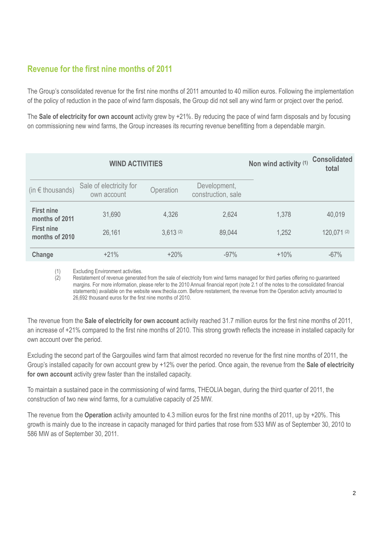## **Revenue for the first nine months of 2011**

The Group's consolidated revenue for the first nine months of 2011 amounted to 40 million euros. Following the implementation of the policy of reduction in the pace of wind farm disposals, the Group did not sell any wind farm or project over the period.

The **Sale of electricity for own account** activity grew by +21%. By reducing the pace of wind farm disposals and by focusing on commissioning new wind farms, the Group increases its recurring revenue benefitting from a dependable margin.

|                                     | <b>WIND ACTIVITIES</b>                 |           | Non wind activity (1)              | <b>Consolidated</b><br>total |            |
|-------------------------------------|----------------------------------------|-----------|------------------------------------|------------------------------|------------|
| (in $\epsilon$ thousands)           | Sale of electricity for<br>own account | Operation | Development,<br>construction, sale |                              |            |
| <b>First nine</b><br>months of 2011 | 31,690                                 | 4,326     | 2,624                              | 1,378                        | 40,019     |
| <b>First nine</b><br>months of 2010 | 26,161                                 | 3,613(2)  | 89,044                             | 1,252                        | 120,071(2) |
| Change                              | $+21%$                                 | $+20%$    | $-97%$                             | $+10%$                       | $-67%$     |

(1) Excluding Environment activities.

(2) Restatement of revenue generated from the sale of electricity from wind farms managed for third parties offering no guaranteed margins. For more information, please refer to the 2010 Annual financial report (note 2.1 of the notes to the consolidated financial statements) available on the website www.theolia.com. Before restatement, the revenue from the Operation activity amounted to 26,692 thousand euros for the first nine months of 2010.

The revenue from the **Sale of electricity for own account** activity reached 31.7 million euros for the first nine months of 2011, an increase of +21% compared to the first nine months of 2010. This strong growth reflects the increase in installed capacity for own account over the period.

Excluding the second part of the Gargouilles wind farm that almost recorded no revenue for the first nine months of 2011, the Group's installed capacity for own account grew by +12% over the period. Once again, the revenue from the **Sale of electricity for own account** activity grew faster than the installed capacity.

To maintain a sustained pace in the commissioning of wind farms, THEOLIA began, during the third quarter of 2011, the construction of two new wind farms, for a cumulative capacity of 25 MW.

The revenue from the **Operation** activity amounted to 4.3 million euros for the first nine months of 2011, up by +20%. This growth is mainly due to the increase in capacity managed for third parties that rose from 533 MW as of September 30, 2010 to 586 MW as of September 30, 2011.